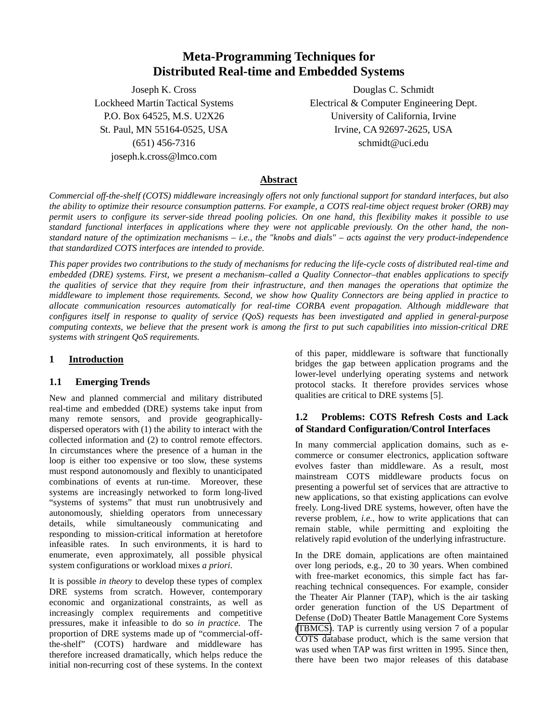# **Meta-Programming Techniques for Distributed Real-time and Embedded Systems**

Joseph K. Cross Lockheed Martin Tactical Systems P.O. Box 64525, M.S. U2X26 St. Paul, MN 55164-0525, USA (651) 456-7316 joseph.k.cross@lmco.com

Douglas C. Schmidt Electrical & Computer Engineering Dept. University of California, Irvine Irvine, CA 92697-2625, USA schmidt@uci.edu

# **Abstract**

*Commercial off-the-shelf (COTS) middleware increasingly offers not only functional support for standard interfaces, but also the ability to optimize their resource consumption patterns. For example, a COTS real-time object request broker (ORB) may permit users to configure its server-side thread pooling policies. On one hand, this flexibility makes it possible to use standard functional interfaces in applications where they were not applicable previously. On the other hand, the nonstandard nature of the optimization mechanisms – i.e., the "knobs and dials" – acts against the very product-independence that standardized COTS interfaces are intended to provide.* 

*This paper provides two contributions to the study of mechanisms for reducing the life-cycle costs of distributed real-time and embedded (DRE) systems. First, we present a mechanism–called a Quality Connector–that enables applications to specify the qualities of service that they require from their infrastructure, and then manages the operations that optimize the middleware to implement those requirements. Second, we show how Quality Connectors are being applied in practice to allocate communication resources automatically for real-time CORBA event propagation. Although middleware that configures itself in response to quality of service (QoS) requests has been investigated and applied in general-purpose computing contexts, we believe that the present work is among the first to put such capabilities into mission-critical DRE systems with stringent QoS requirements.* 

# **1 Introduction**

## **1.1 Emerging Trends**

New and planned commercial and military distributed real-time and embedded (DRE) systems take input from many remote sensors, and provide geographicallydispersed operators with (1) the ability to interact with the collected information and (2) to control remote effectors. In circumstances where the presence of a human in the loop is either too expensive or too slow, these systems must respond autonomously and flexibly to unanticipated combinations of events at run-time. Moreover, these systems are increasingly networked to form long-lived "systems of systems" that must run unobtrusively and autonomously, shielding operators from unnecessary details, while simultaneously communicating and responding to mission-critical information at heretofore infeasible rates. In such environments, it is hard to enumerate, even approximately, all possible physical system configurations or workload mixes *a priori*.

It is possible *in theory* to develop these types of complex DRE systems from scratch. However, contemporary economic and organizational constraints, as well as increasingly complex requirements and competitive pressures, make it infeasible to do so *in practice*. The proportion of DRE systems made up of "commercial-offthe-shelf" (COTS) hardware and middleware has therefore increased dramatically, which helps reduce the initial non-recurring cost of these systems. In the context of this paper, middleware is software that functionally bridges the gap between application programs and the lower-level underlying operating systems and network protocol stacks. It therefore provides services whose qualities are critical to DRE systems [5].

# **1.2 Problems: COTS Refresh Costs and Lack of Standard Configuration/Control Interfaces**

In many commercial application domains, such as ecommerce or consumer electronics, application software evolves faster than middleware. As a result, most mainstream COTS middleware products focus on presenting a powerful set of services that are attractive to new applications, so that existing applications can evolve freely. Long-lived DRE systems, however, often have the reverse problem, *i.e.,* how to write applications that can remain stable, while permitting and exploiting the relatively rapid evolution of the underlying infrastructure.

In the DRE domain, applications are often maintained over long periods, e.g., 20 to 30 years. When combined with free-market economics, this simple fact has farreaching technical consequences. For example, consider the Theater Air Planner (TAP), which is the air tasking order generation function of the US Department of Defense (DoD) Theater Battle Management Core Systems [\(TBMCS\)](http://www.afmc.wpafb.af.mil/organizations/HQ-AFMC/PA/news_sou/00news/December/HanscomTBMCS.htm). TAP is currently using version 7 of a popular COTS database product, which is the same version that was used when TAP was first written in 1995. Since then, there have been two major releases of this database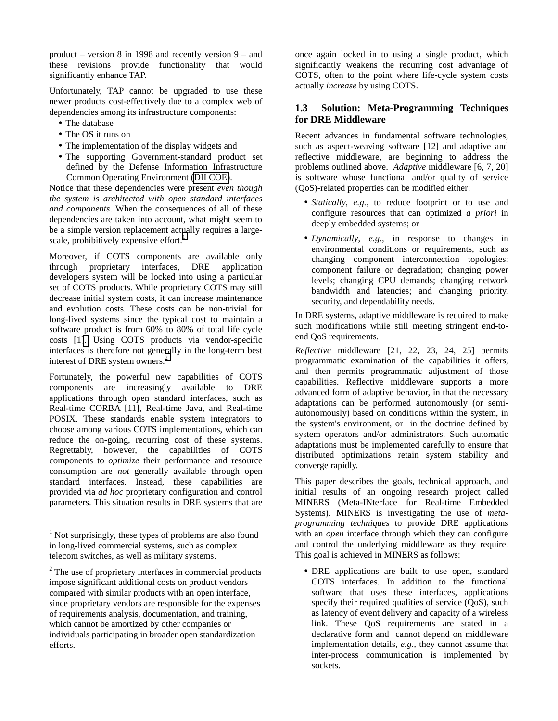product – version 8 in 1998 and recently version 9 – and these revisions provide functionality that would significantly enhance TAP.

Unfortunately, TAP cannot be upgraded to use these newer products cost-effectively due to a complex web of dependencies among its infrastructure components:

- The database
- The OS it runs on
- The implementation of the display widgets and
- The supporting Government-standard product set defined by the Defense Information Infrastructure Common Operating Environment ([DII COE\)](http://diicoe.disa.mil/coe/).

Notice that these dependencies were present *even though the system is architected with open standard interfaces and components*. When the consequences of all of these dependencies are taken into account, what might seem to be a simple version replacement actually requires a largescale, prohibitively expensive effort.<sup>1</sup>

Moreover, if COTS components are available only through proprietary interfaces, DRE application developers system will be locked into using a particular set of COTS products. While proprietary COTS may still decrease initial system costs, it can increase maintenance and evolution costs. These costs can be non-trivial for long-lived systems since the typical cost to maintain a software product is from 60% to 80% of total life cycle costs [1[\].](http://web2.deskbook.osd.mil/reflib/DAF/035GZ/013/035GZ013DOC.HTM#T2) Using COTS products via vendor-specific interfaces is therefore not generally in the long-term best interest of DRE system owners.<sup>2</sup>

Fortunately, the powerful new capabilities of COTS components are increasingly available to DRE applications through open standard interfaces, such as Real-time CORBA [11], Real-time Java, and Real-time POSIX. These standards enable system integrators to choose among various COTS implementations, which can reduce the on-going, recurring cost of these systems. Regrettably, however, the capabilities of COTS components to *optimize* their performance and resource consumption are *not* generally available through open standard interfaces. Instead, these capabilities are provided via *ad hoc* proprietary configuration and control parameters. This situation results in DRE systems that are

 $\overline{a}$ 

once again locked in to using a single product, which significantly weakens the recurring cost advantage of COTS, often to the point where life-cycle system costs actually *increase* by using COTS.

# **1.3 Solution: Meta-Programming Techniques for DRE Middleware**

Recent advances in fundamental software technologies, such as aspect-weaving software [12] and adaptive and reflective middleware, are beginning to address the problems outlined above. *Adaptive* middleware [6, 7, 20] is software whose functional and/or quality of service (QoS)-related properties can be modified either:

- *Statically*, *e.g.,* to reduce footprint or to use and configure resources that can optimized *a priori* in deeply embedded systems; or
- *Dynamically*, *e.g.,* in response to changes in environmental conditions or requirements, such as changing component interconnection topologies; component failure or degradation; changing power levels; changing CPU demands; changing network bandwidth and latencies; and changing priority, security, and dependability needs.

In DRE systems, adaptive middleware is required to make such modifications while still meeting stringent end-toend QoS requirements.

*Reflective* middleware [21, 22, 23, 24, 25] permits programmatic examination of the capabilities it offers, and then permits programmatic adjustment of those capabilities. Reflective middleware supports a more advanced form of adaptive behavior, in that the necessary adaptations can be performed autonomously (or semiautonomously) based on conditions within the system, in the system's environment, or in the doctrine defined by system operators and/or administrators. Such automatic adaptations must be implemented carefully to ensure that distributed optimizations retain system stability and converge rapidly.

This paper describes the goals, technical approach, and initial results of an ongoing research project called MINERS (Meta-INterface for Real-time Embedded Systems). MINERS is investigating the use of *metaprogramming techniques* to provide DRE applications with an *open* interface through which they can configure and control the underlying middleware as they require. This goal is achieved in MINERS as follows:

• DRE applications are built to use open, standard COTS interfaces. In addition to the functional software that uses these interfaces, applications specify their required qualities of service (QoS), such as latency of event delivery and capacity of a wireless link. These QoS requirements are stated in a declarative form and cannot depend on middleware implementation details, *e.g.,* they cannot assume that inter-process communication is implemented by sockets.

<sup>&</sup>lt;sup>1</sup> Not surprisingly, these types of problems are also found in long-lived commercial systems, such as complex telecom switches, as well as military systems.

 $2^2$  The use of proprietary interfaces in commercial products impose significant additional costs on product vendors compared with similar products with an open interface, since proprietary vendors are responsible for the expenses of requirements analysis, documentation, and training, which cannot be amortized by other companies or individuals participating in broader open standardization efforts.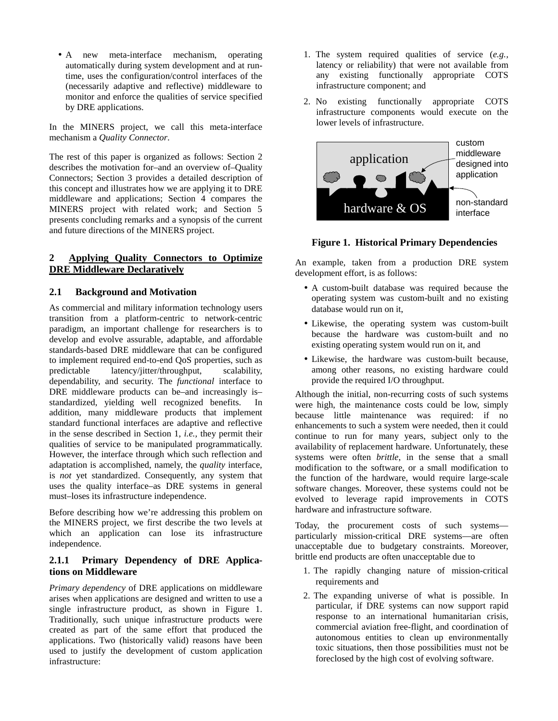• A new meta-interface mechanism, operating automatically during system development and at runtime, uses the configuration/control interfaces of the (necessarily adaptive and reflective) middleware to monitor and enforce the qualities of service specified by DRE applications.

In the MINERS project, we call this meta-interface mechanism a *Quality Connector*.

The rest of this paper is organized as follows: Section 2 describes the motivation for–and an overview of–Quality Connectors; Section 3 provides a detailed description of this concept and illustrates how we are applying it to DRE middleware and applications; Section 4 compares the MINERS project with related work; and Section 5 presents concluding remarks and a synopsis of the current and future directions of the MINERS project.

# **2 Applying Quality Connectors to Optimize DRE Middleware Declaratively**

## **2.1 Background and Motivation**

As commercial and military information technology users transition from a platform-centric to network-centric paradigm, an important challenge for researchers is to develop and evolve assurable, adaptable, and affordable standards-based DRE middleware that can be configured to implement required end-to-end QoS properties, such as predictable latency/jitter/throughput, scalability, dependability, and security. The *functional* interface to DRE middleware products can be–and increasingly is– standardized, yielding well recognized benefits. In addition, many middleware products that implement standard functional interfaces are adaptive and reflective in the sense described in Section 1, *i.e.,* they permit their qualities of service to be manipulated programmatically. However, the interface through which such reflection and adaptation is accomplished, namely, the *quality* interface, is *not* yet standardized. Consequently, any system that uses the quality interface–as DRE systems in general must–loses its infrastructure independence.

Before describing how we're addressing this problem on the MINERS project, we first describe the two levels at which an application can lose its infrastructure independence.

## **2.1.1 Primary Dependency of DRE Applications on Middleware**

*Primary dependency* of DRE applications on middleware arises when applications are designed and written to use a single infrastructure product, as shown in Figure 1. Traditionally, such unique infrastructure products were created as part of the same effort that produced the applications. Two (historically valid) reasons have been used to justify the development of custom application infrastructure:

- 1. The system required qualities of service (*e.g.,* latency or reliability) that were not available from any existing functionally appropriate COTS infrastructure component; and
- 2. No existing functionally appropriate COTS infrastructure components would execute on the lower levels of infrastructure.



**Figure 1. Historical Primary Dependencies** 

An example, taken from a production DRE system development effort, is as follows:

- A custom-built database was required because the operating system was custom-built and no existing database would run on it,
- Likewise, the operating system was custom-built because the hardware was custom-built and no existing operating system would run on it, and
- Likewise, the hardware was custom-built because, among other reasons, no existing hardware could provide the required I/O throughput.

Although the initial, non-recurring costs of such systems were high, the maintenance costs could be low, simply because little maintenance was required: if no enhancements to such a system were needed, then it could continue to run for many years, subject only to the availability of replacement hardware. Unfortunately, these systems were often *brittle*, in the sense that a small modification to the software, or a small modification to the function of the hardware, would require large-scale software changes. Moreover, these systems could not be evolved to leverage rapid improvements in COTS hardware and infrastructure software.

Today, the procurement costs of such systems particularly mission-critical DRE systems—are often unacceptable due to budgetary constraints. Moreover, brittle end products are often unacceptable due to

- 1. The rapidly changing nature of mission-critical requirements and
- 2. The expanding universe of what is possible. In particular, if DRE systems can now support rapid response to an international humanitarian crisis, commercial aviation free-flight, and coordination of autonomous entities to clean up environmentally toxic situations, then those possibilities must not be foreclosed by the high cost of evolving software.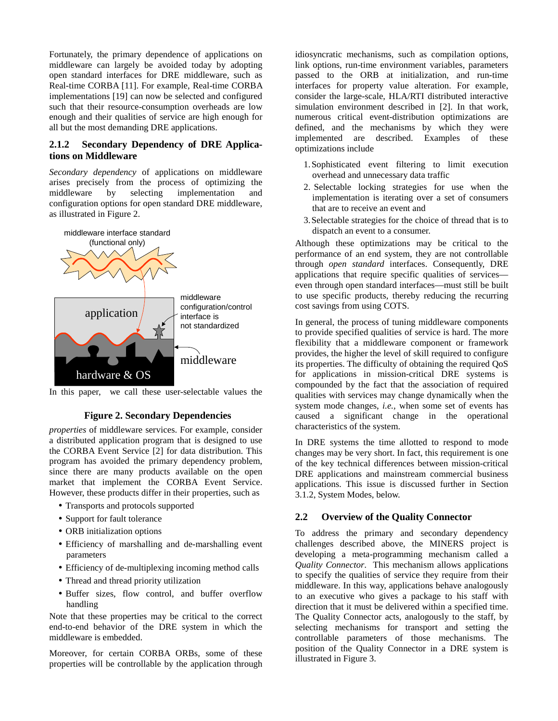Fortunately, the primary dependence of applications on middleware can largely be avoided today by adopting open standard interfaces for DRE middleware, such as Real-time CORBA [11]. For example, Real-time CORBA implementations [19] can now be selected and configured such that their resource-consumption overheads are low enough and their qualities of service are high enough for all but the most demanding DRE applications.

# **2.1.2 Secondary Dependency of DRE Applications on Middleware**

*Secondary dependency* of applications on middleware arises precisely from the process of optimizing the middleware by selecting implementation and middleware by selecting implementation and configuration options for open standard DRE middleware, as illustrated in Figure 2.



In this paper, we call these user-selectable values the

#### **Figure 2. Secondary Dependencies**

*properties* of middleware services. For example, consider a distributed application program that is designed to use the CORBA Event Service [2] for data distribution. This program has avoided the primary dependency problem, since there are many products available on the open market that implement the CORBA Event Service. However, these products differ in their properties, such as

- Transports and protocols supported
- Support for fault tolerance
- ORB initialization options
- Efficiency of marshalling and de-marshalling event parameters
- Efficiency of de-multiplexing incoming method calls
- Thread and thread priority utilization
- Buffer sizes, flow control, and buffer overflow handling

Note that these properties may be critical to the correct end-to-end behavior of the DRE system in which the middleware is embedded.

Moreover, for certain CORBA ORBs, some of these properties will be controllable by the application through idiosyncratic mechanisms, such as compilation options, link options, run-time environment variables, parameters passed to the ORB at initialization, and run-time interfaces for property value alteration. For example, consider the large-scale, HLA/RTI distributed interactive simulation environment described in [2]. In that work, numerous critical event-distribution optimizations are defined, and the mechanisms by which they were implemented are described. Examples of these optimizations include

- 1. Sophisticated event filtering to limit execution overhead and unnecessary data traffic
- 2. Selectable locking strategies for use when the implementation is iterating over a set of consumers that are to receive an event and
- 3. Selectable strategies for the choice of thread that is to dispatch an event to a consumer.

Although these optimizations may be critical to the performance of an end system, they are not controllable through *open standard* interfaces. Consequently, DRE applications that require specific qualities of services even through open standard interfaces—must still be built to use specific products, thereby reducing the recurring cost savings from using COTS.

In general, the process of tuning middleware components to provide specified qualities of service is hard. The more flexibility that a middleware component or framework provides, the higher the level of skill required to configure its properties. The difficulty of obtaining the required QoS for applications in mission-critical DRE systems is compounded by the fact that the association of required qualities with services may change dynamically when the system mode changes, *i.e.,* when some set of events has caused a significant change in the operational characteristics of the system.

In DRE systems the time allotted to respond to mode changes may be very short. In fact, this requirement is one of the key technical differences between mission-critical DRE applications and mainstream commercial business applications. This issue is discussed further in Section 3.1.2, System Modes, below.

#### **2.2 Overview of the Quality Connector**

To address the primary and secondary dependency challenges described above, the MINERS project is developing a meta-programming mechanism called a *Quality Connector*. This mechanism allows applications to specify the qualities of service they require from their middleware. In this way, applications behave analogously to an executive who gives a package to his staff with direction that it must be delivered within a specified time. The Quality Connector acts, analogously to the staff, by selecting mechanisms for transport and setting the controllable parameters of those mechanisms. The position of the Quality Connector in a DRE system is illustrated in Figure 3.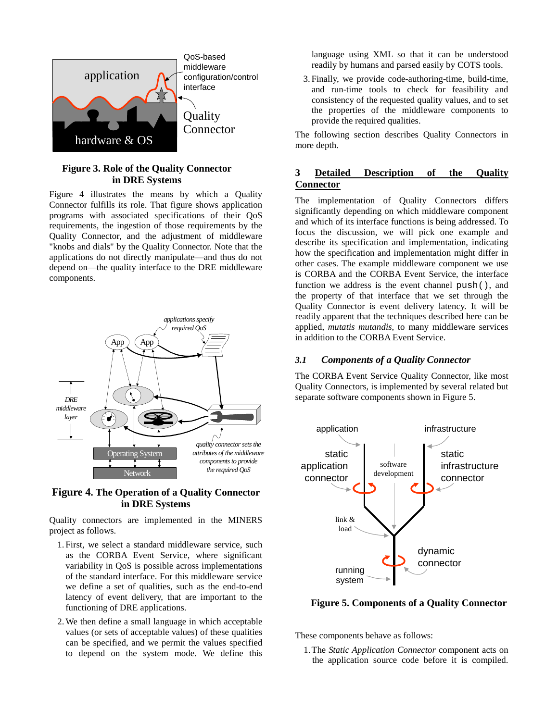

# **Figure 3. Role of the Quality Connector in DRE Systems**

Figure 4 illustrates the means by which a Quality Connector fulfills its role. That figure shows application programs with associated specifications of their QoS requirements, the ingestion of those requirements by the Quality Connector, and the adjustment of middleware "knobs and dials" by the Quality Connector. Note that the applications do not directly manipulate—and thus do not depend on—the quality interface to the DRE middleware components.



# **Figure 4. The Operation of a Quality Connector in DRE Systems**

Quality connectors are implemented in the MINERS project as follows.

- 1. First, we select a standard middleware service, such as the CORBA Event Service, where significant variability in QoS is possible across implementations of the standard interface. For this middleware service we define a set of qualities, such as the end-to-end latency of event delivery, that are important to the functioning of DRE applications.
- 2. We then define a small language in which acceptable values (or sets of acceptable values) of these qualities can be specified, and we permit the values specified to depend on the system mode. We define this

language using XML so that it can be understood readily by humans and parsed easily by COTS tools.

3. Finally, we provide code-authoring-time, build-time, and run-time tools to check for feasibility and consistency of the requested quality values, and to set the properties of the middleware components to provide the required qualities.

The following section describes Quality Connectors in more depth.

# **3 Detailed Description of the Quality Connector**

The implementation of Quality Connectors differs significantly depending on which middleware component and which of its interface functions is being addressed. To focus the discussion, we will pick one example and describe its specification and implementation, indicating how the specification and implementation might differ in other cases. The example middleware component we use is CORBA and the CORBA Event Service, the interface function we address is the event channel push(), and the property of that interface that we set through the Quality Connector is event delivery latency. It will be readily apparent that the techniques described here can be applied, *mutatis mutandis*, to many middleware services in addition to the CORBA Event Service.

# *3.1 Components of a Quality Connector*

The CORBA Event Service Quality Connector, like most Quality Connectors, is implemented by several related but separate software components shown in Figure 5.



**Figure 5. Components of a Quality Connector** 

These components behave as follows:

1. The *Static Application Connector* component acts on the application source code before it is compiled.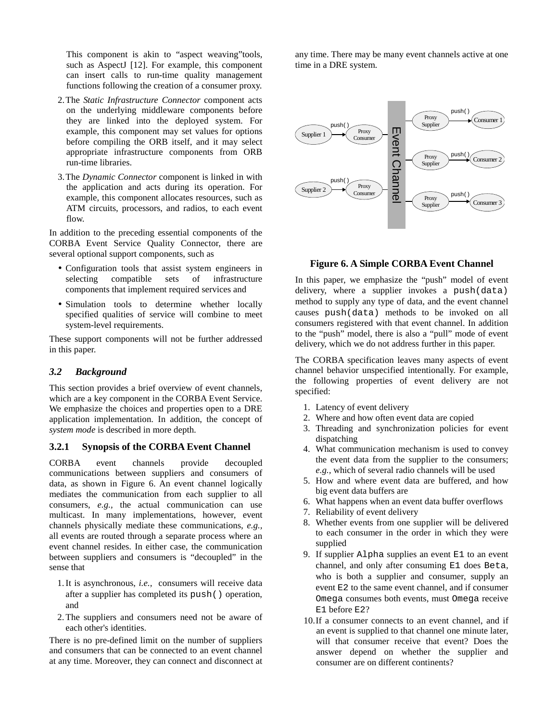This component is akin to "aspect weaving"tools, such as AspectJ [12]. For example, this component can insert calls to run-time quality management functions following the creation of a consumer proxy.

- 2. The *Static Infrastructure Connector* component acts on the underlying middleware components before they are linked into the deployed system. For example, this component may set values for options before compiling the ORB itself, and it may select appropriate infrastructure components from ORB run-time libraries.
- 3. The *Dynamic Connector* component is linked in with the application and acts during its operation. For example, this component allocates resources, such as ATM circuits, processors, and radios, to each event flow.

In addition to the preceding essential components of the CORBA Event Service Quality Connector, there are several optional support components, such as

- Configuration tools that assist system engineers in selecting compatible sets of infrastructure components that implement required services and
- Simulation tools to determine whether locally specified qualities of service will combine to meet system-level requirements.

These support components will not be further addressed in this paper.

## *3.2 Background*

This section provides a brief overview of event channels, which are a key component in the CORBA Event Service. We emphasize the choices and properties open to a DRE application implementation. In addition, the concept of *system mode* is described in more depth.

#### **3.2.1 Synopsis of the CORBA Event Channel**

CORBA event channels provide decoupled communications between suppliers and consumers of data, as shown in Figure 6. An event channel logically mediates the communication from each supplier to all consumers, *e.g.,* the actual communication can use multicast. In many implementations, however, event channels physically mediate these communications, *e.g.,* all events are routed through a separate process where an event channel resides. In either case, the communication between suppliers and consumers is "decoupled" in the sense that

- 1. It is asynchronous, *i.e.,* consumers will receive data after a supplier has completed its push() operation, and
- 2. The suppliers and consumers need not be aware of each other's identities.

There is no pre-defined limit on the number of suppliers and consumers that can be connected to an event channel at any time. Moreover, they can connect and disconnect at any time. There may be many event channels active at one time in a DRE system.



#### **Figure 6. A Simple CORBA Event Channel**

In this paper, we emphasize the "push" model of event delivery, where a supplier invokes a push(data) method to supply any type of data, and the event channel causes push(data) methods to be invoked on all consumers registered with that event channel. In addition to the "push" model, there is also a "pull" mode of event delivery, which we do not address further in this paper.

The CORBA specification leaves many aspects of event channel behavior unspecified intentionally. For example, the following properties of event delivery are not specified:

- 1. Latency of event delivery
- 2. Where and how often event data are copied
- 3. Threading and synchronization policies for event dispatching
- 4. What communication mechanism is used to convey the event data from the supplier to the consumers; *e.g.,* which of several radio channels will be used
- 5. How and where event data are buffered, and how big event data buffers are
- 6. What happens when an event data buffer overflows
- 7. Reliability of event delivery
- 8. Whether events from one supplier will be delivered to each consumer in the order in which they were supplied
- 9. If supplier Alpha supplies an event E1 to an event channel, and only after consuming E1 does Beta, who is both a supplier and consumer, supply an event E2 to the same event channel, and if consumer Omega consumes both events, must Omega receive E<sub>1</sub> before E<sub>2</sub>?
- 10. If a consumer connects to an event channel, and if an event is supplied to that channel one minute later, will that consumer receive that event? Does the answer depend on whether the supplier and consumer are on different continents?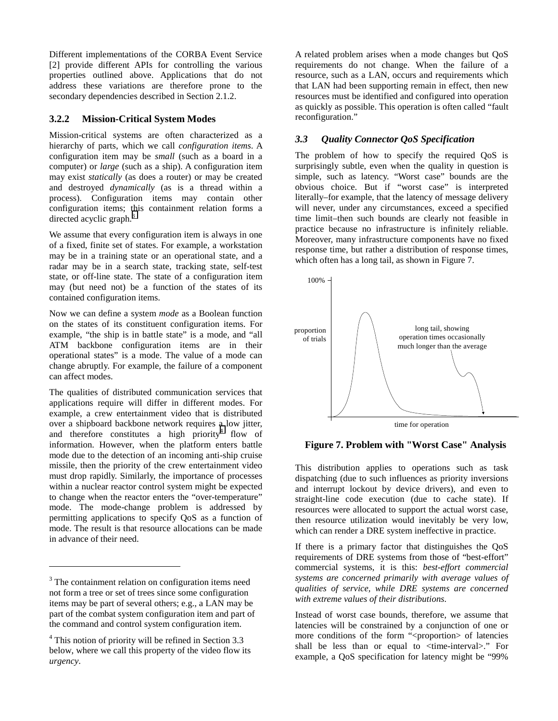Different implementations of the CORBA Event Service [2] provide different APIs for controlling the various properties outlined above. Applications that do not address these variations are therefore prone to the secondary dependencies described in Section 2.1.2.

# **3.2.2 Mission-Critical System Modes**

Mission-critical systems are often characterized as a hierarchy of parts, which we call *configuration items*. A configuration item may be *small* (such as a board in a computer) or *large* (such as a ship). A configuration item may exist *statically* (as does a router) or may be created and destroyed *dynamically* (as is a thread within a process). Configuration items may contain other configuration items; this containment relation forms a directed acyclic graph.<sup>3</sup>

We assume that every configuration item is always in one of a fixed, finite set of states. For example, a workstation may be in a training state or an operational state, and a radar may be in a search state, tracking state, self-test state, or off-line state. The state of a configuration item may (but need not) be a function of the states of its contained configuration items.

Now we can define a system *mode* as a Boolean function on the states of its constituent configuration items. For example, "the ship is in battle state" is a mode, and "all ATM backbone configuration items are in their operational states" is a mode. The value of a mode can change abruptly. For example, the failure of a component can affect modes.

The qualities of distributed communication services that applications require will differ in different modes. For example, a crew entertainment video that is distributed over a shipboard backbone network requires a low jitter, and therefore constitutes a high priority<sup>4</sup> flow of information. However, when the platform enters battle mode due to the detection of an incoming anti-ship cruise missile, then the priority of the crew entertainment video must drop rapidly. Similarly, the importance of processes within a nuclear reactor control system might be expected to change when the reactor enters the "over-temperature" mode. The mode-change problem is addressed by permitting applications to specify QoS as a function of mode. The result is that resource allocations can be made in advance of their need.

 $\overline{a}$ 

A related problem arises when a mode changes but QoS requirements do not change. When the failure of a resource, such as a LAN, occurs and requirements which that LAN had been supporting remain in effect, then new resources must be identified and configured into operation as quickly as possible. This operation is often called "fault reconfiguration."

# *3.3 Quality Connector QoS Specification*

The problem of how to specify the required QoS is surprisingly subtle, even when the quality in question is simple, such as latency. "Worst case" bounds are the obvious choice. But if "worst case" is interpreted literally–for example, that the latency of message delivery will never, under any circumstances, exceed a specified time limit–then such bounds are clearly not feasible in practice because no infrastructure is infinitely reliable. Moreover, many infrastructure components have no fixed response time, but rather a distribution of response times, which often has a long tail, as shown in Figure 7.



## **Figure 7. Problem with "Worst Case" Analysis**

This distribution applies to operations such as task dispatching (due to such influences as priority inversions and interrupt lockout by device drivers), and even to straight-line code execution (due to cache state). If resources were allocated to support the actual worst case, then resource utilization would inevitably be very low, which can render a DRE system ineffective in practice.

If there is a primary factor that distinguishes the QoS requirements of DRE systems from those of "best-effort" commercial systems, it is this: *best-effort commercial systems are concerned primarily with average values of qualities of service, while DRE systems are concerned with extreme values of their distributions*.

Instead of worst case bounds, therefore, we assume that latencies will be constrained by a conjunction of one or more conditions of the form "<proportion> of latencies shall be less than or equal to  $\langle$ time-interval $\rangle$ ." For example, a QoS specification for latency might be "99%

<sup>&</sup>lt;sup>3</sup> The containment relation on configuration items need not form a tree or set of trees since some configuration items may be part of several others; e.g., a LAN may be part of the combat system configuration item and part of the command and control system configuration item.

<sup>&</sup>lt;sup>4</sup> This notion of priority will be refined in Section 3.3 below, where we call this property of the video flow its *urgency*.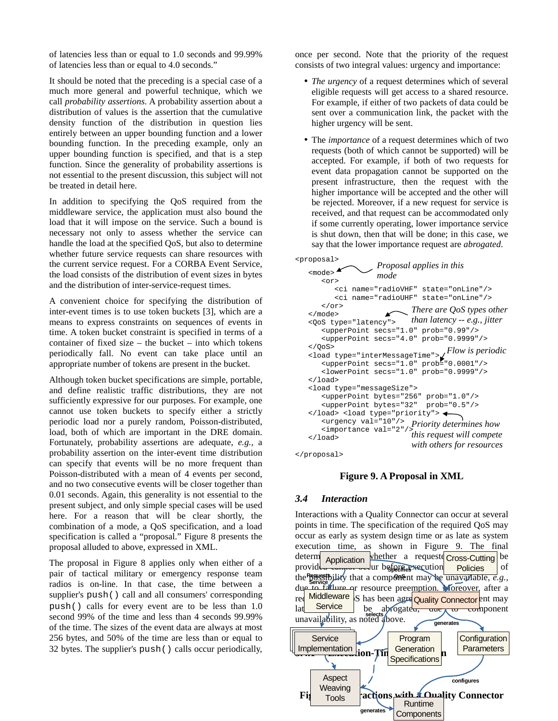of latencies less than or equal to 1.0 seconds and 99.99% of latencies less than or equal to 4.0 seconds."

It should be noted that the preceding is a special case of a much more general and powerful technique, which we call *probability assertions*. A probability assertion about a distribution of values is the assertion that the cumulative density function of the distribution in question lies entirely between an upper bounding function and a lower bounding function. In the preceding example, only an upper bounding function is specified, and that is a step function. Since the generality of probability assertions is not essential to the present discussion, this subject will not be treated in detail here.

In addition to specifying the QoS required from the middleware service, the application must also bound the load that it will impose on the service. Such a bound is necessary not only to assess whether the service can handle the load at the specified QoS, but also to determine whether future service requests can share resources with the current service request. For a CORBA Event Service, the load consists of the distribution of event sizes in bytes and the distribution of inter-service-request times.

A convenient choice for specifying the distribution of inter-event times is to use token buckets [3], which are a means to express constraints on sequences of events in time. A token bucket constraint is specified in terms of a container of fixed size – the bucket – into which tokens periodically fall. No event can take place until an appropriate number of tokens are present in the bucket.

Although token bucket specifications are simple, portable, and define realistic traffic distributions, they are not sufficiently expressive for our purposes. For example, one cannot use token buckets to specify either a strictly periodic load nor a purely random, Poisson-distributed, load, both of which are important in the DRE domain. Fortunately, probability assertions are adequate, *e.g.,* a probability assertion on the inter-event time distribution can specify that events will be no more frequent than Poisson-distributed with a mean of 4 events per second, and no two consecutive events will be closer together than 0.01 seconds. Again, this generality is not essential to the present subject, and only simple special cases will be used here. For a reason that will be clear shortly, the combination of a mode, a QoS specification, and a load specification is called a "proposal." Figure 8 presents the proposal alluded to above, expressed in XML.

The proposal in Figure 8 applies only when either of a pair of tactical military or emergency response team radios is on-line. In that case, the time between a supplier's push() call and all consumers' corresponding push() calls for every event are to be less than 1.0 second 99% of the time and less than 4 seconds 99.99% of the time. The sizes of the event data are always at most 256 bytes, and 50% of the time are less than or equal to 32 bytes. The supplier's push() calls occur periodically,

once per second. Note that the priority of the request consists of two integral values: urgency and importance:

- *The urgency* of a request determines which of several eligible requests will get access to a shared resource. For example, if either of two packets of data could be sent over a communication link, the packet with the higher urgency will be sent.
- The *importance* of a request determines which of two requests (both of which cannot be supported) will be accepted. For example, if both of two requests for event data propagation cannot be supported on the present infrastructure, then the request with the higher importance will be accepted and the other will be rejected. Moreover, if a new request for service is received, and that request can be accommodated only if some currently operating, lower importance service is shut down, then that will be done; in this case, we say that the lower importance request are *abrogated*.

| <proposal></proposal>          |                                                                           |                              |                           |
|--------------------------------|---------------------------------------------------------------------------|------------------------------|---------------------------|
| $mode$                         |                                                                           | Proposal applies in this     |                           |
| cor                            | mode                                                                      |                              |                           |
|                                | <ci name="radioVHF" state="onLine"></ci>                                  |                              |                           |
|                                | <ci <="" name="radioUHF" td=""><td>state="onLine"/&gt;</td><td></td></ci> | state="onLine"/>             |                           |
| $\langle$ or $>$<br>$<$ /mode> |                                                                           |                              | There are QoS types other |
|                                | <qos type="latency"></qos>                                                | than latency -- e.g., jitter |                           |
|                                | <upperpoint prob="0.99" secs="1.0"></upperpoint>                          |                              |                           |
|                                | <upperpoint prob="0.9999" secs="4.0"></upperpoint>                        |                              |                           |
| $<$ /00S>                      | $\le$ load type="interMessageTime"> $\angle$ Flow is periodic             |                              |                           |
|                                | <upperpoint prob="0.0001" secs="1.0"></upperpoint>                        |                              |                           |
|                                | <lowerpoint prob="0.9999" secs="1.0"></lowerpoint>                        |                              |                           |
| $\langle$ load>                |                                                                           |                              |                           |
|                                | <load type="messageSize"></load>                                          |                              |                           |
|                                | <upperpoint bytes="256" prob="1.0"></upperpoint>                          |                              |                           |
|                                | <upperpoint bytes="32" prob="0.5"></upperpoint>                           |                              |                           |
|                                | <load type="priority"></load>                                             |                              |                           |
|                                | <urgency val="10"></urgency>                                              | Priority determines how      |                           |
| $\langle$ load>                | $\frac{1}{2}$ <importance val="2"></importance> this request will compete |                              |                           |
|                                |                                                                           | with others for resources    |                           |
|                                |                                                                           |                              |                           |

</proposal>

#### **Figure 9. A Proposal in XML**

#### *3.4 Interaction*

Interactions with a Quality Connector can occur at several points in time. The specification of the required QoS may occur as early as system design time or as late as system execution time, as shown in Figure 9. The final determ Application whether a requeste Cross-Cutting be provide<del>d cannot occ</del>ur before execution **Policies** of the **Request bility** that a component may be unavailable, *e.g.*, due to failure or resource preemption. Moreover, after a red Middleware S has been agreed all a Connector ent may research to that a great may be supposed to the Supposed to the Supposed of the Supposed of the Supposed to the Supposed of the Supposed of the Supposed of the Suppo  $\text{lat}$  Service be abrogated, due to component unavailability, as noted above. **selects Implementation**<br> **3.4.1.1 Lease Victorian Figure 1. Interactions with a Quality Connector** Application Program **Generation Specifications Configuration Parameters** Runtime **Components** Aspect **Weaving** Tools **generates configures generates** Service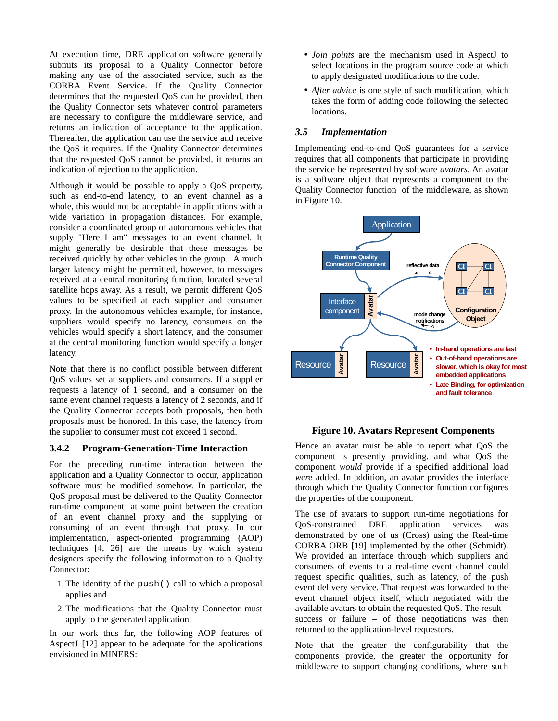At execution time, DRE application software generally submits its proposal to a Quality Connector before making any use of the associated service, such as the CORBA Event Service. If the Quality Connector determines that the requested QoS can be provided, then the Quality Connector sets whatever control parameters are necessary to configure the middleware service, and returns an indication of acceptance to the application. Thereafter, the application can use the service and receive the QoS it requires. If the Quality Connector determines that the requested QoS cannot be provided, it returns an indication of rejection to the application.

Although it would be possible to apply a QoS property, such as end-to-end latency, to an event channel as a whole, this would not be acceptable in applications with a wide variation in propagation distances. For example, consider a coordinated group of autonomous vehicles that supply "Here I am" messages to an event channel. It might generally be desirable that these messages be received quickly by other vehicles in the group. A much larger latency might be permitted, however, to messages received at a central monitoring function, located several satellite hops away. As a result, we permit different QoS values to be specified at each supplier and consumer proxy. In the autonomous vehicles example, for instance, suppliers would specify no latency, consumers on the vehicles would specify a short latency, and the consumer at the central monitoring function would specify a longer latency.

Note that there is no conflict possible between different QoS values set at suppliers and consumers. If a supplier requests a latency of 1 second, and a consumer on the same event channel requests a latency of 2 seconds, and if the Quality Connector accepts both proposals, then both proposals must be honored. In this case, the latency from the supplier to consumer must not exceed 1 second.

#### **3.4.2 Program-Generation-Time Interaction**

For the preceding run-time interaction between the application and a Quality Connector to occur, application software must be modified somehow. In particular, the QoS proposal must be delivered to the Quality Connector run-time component at some point between the creation of an event channel proxy and the supplying or consuming of an event through that proxy. In our implementation, aspect-oriented programming (AOP) techniques [4, 26] are the means by which system designers specify the following information to a Quality Connector:

- 1. The identity of the push() call to which a proposal applies and
- 2. The modifications that the Quality Connector must apply to the generated application.

In our work thus far, the following AOP features of AspectJ [12] appear to be adequate for the applications envisioned in MINERS:

- *Join points* are the mechanism used in AspectJ to select locations in the program source code at which to apply designated modifications to the code.
- *After advice* is one style of such modification, which takes the form of adding code following the selected locations.

# *3.5 Implementation*

Implementing end-to-end QoS guarantees for a service requires that all components that participate in providing the service be represented by software *avatars*. An avatar is a software object that represents a component to the Quality Connector function of the middleware, as shown in Figure 10.



# **Figure 10. Avatars Represent Components**

Hence an avatar must be able to report what QoS the component is presently providing, and what QoS the component *would* provide if a specified additional load *were* added. In addition, an avatar provides the interface through which the Quality Connector function configures the properties of the component.

The use of avatars to support run-time negotiations for QoS-constrained DRE application services was demonstrated by one of us (Cross) using the Real-time CORBA ORB [19] implemented by the other (Schmidt). We provided an interface through which suppliers and consumers of events to a real-time event channel could request specific qualities, such as latency, of the push event delivery service. That request was forwarded to the event channel object itself, which negotiated with the available avatars to obtain the requested QoS. The result – success or failure – of those negotiations was then returned to the application-level requestors.

Note that the greater the configurability that the components provide, the greater the opportunity for middleware to support changing conditions, where such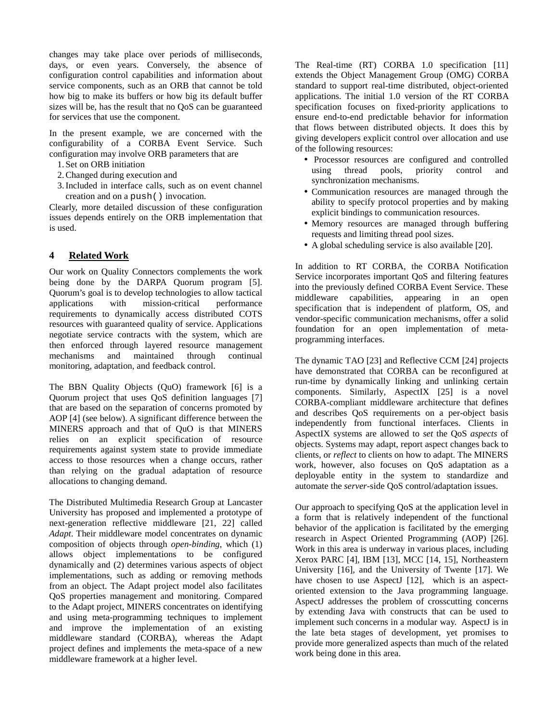changes may take place over periods of milliseconds, days, or even years. Conversely, the absence of configuration control capabilities and information about service components, such as an ORB that cannot be told how big to make its buffers or how big its default buffer sizes will be, has the result that no QoS can be guaranteed for services that use the component.

In the present example, we are concerned with the configurability of a CORBA Event Service. Such configuration may involve ORB parameters that are

- 1. Set on ORB initiation
- 2. Changed during execution and
- 3. Included in interface calls, such as on event channel creation and on a push() invocation.

Clearly, more detailed discussion of these configuration issues depends entirely on the ORB implementation that is used.

# **4 Related Work**

Our work on Quality Connectors complements the work being done by the DARPA Quorum program [5]. Quorum's goal is to develop technologies to allow tactical applications with mission-critical performance requirements to dynamically access distributed COTS resources with guaranteed quality of service. Applications negotiate service contracts with the system, which are then enforced through layered resource management mechanisms and maintained through continual monitoring, adaptation, and feedback control.

The BBN Quality Objects (QuO) framework [6] is a Quorum project that uses QoS definition languages [7] that are based on the separation of concerns promoted by AOP [4] (see below). A significant difference between the MINERS approach and that of QuO is that MINERS relies on an explicit specification of resource requirements against system state to provide immediate access to those resources when a change occurs, rather than relying on the gradual adaptation of resource allocations to changing demand.

The Distributed Multimedia Research Group at Lancaster University has proposed and implemented a prototype of next-generation reflective middleware [21, 22] called *Adapt*. Their middleware model concentrates on dynamic composition of objects through *open-binding*, which (1) allows object implementations to be configured dynamically and (2) determines various aspects of object implementations, such as adding or removing methods from an object. The Adapt project model also facilitates QoS properties management and monitoring. Compared to the Adapt project, MINERS concentrates on identifying and using meta-programming techniques to implement and improve the implementation of an existing middleware standard (CORBA), whereas the Adapt project defines and implements the meta-space of a new middleware framework at a higher level.

The Real-time (RT) CORBA 1.0 specification [11] extends the Object Management Group (OMG) CORBA standard to support real-time distributed, object-oriented applications. The initial 1.0 version of the RT CORBA specification focuses on fixed-priority applications to ensure end-to-end predictable behavior for information that flows between distributed objects. It does this by giving developers explicit control over allocation and use of the following resources:

- Processor resources are configured and controlled using thread pools, priority control and synchronization mechanisms.
- Communication resources are managed through the ability to specify protocol properties and by making explicit bindings to communication resources.
- Memory resources are managed through buffering requests and limiting thread pool sizes.
- A global scheduling service is also available [20].

In addition to RT CORBA, the CORBA Notification Service incorporates important QoS and filtering features into the previously defined CORBA Event Service. These middleware capabilities, appearing in an open specification that is independent of platform, OS, and vendor-specific communication mechanisms, offer a solid foundation for an open implementation of metaprogramming interfaces.

The dynamic TAO [23] and Reflective CCM [24] projects have demonstrated that CORBA can be reconfigured at run-time by dynamically linking and unlinking certain components. Similarly, AspectIX [25] is a novel CORBA-compliant middleware architecture that defines and describes QoS requirements on a per-object basis independently from functional interfaces. Clients in AspectIX systems are allowed to *set* the QoS *aspects* of objects. Systems may adapt, report aspect changes back to clients, or *reflect* to clients on how to adapt. The MINERS work, however, also focuses on QoS adaptation as a deployable entity in the system to standardize and automate the *server*-side QoS control/adaptation issues.

Our approach to specifying QoS at the application level in a form that is relatively independent of the functional behavior of the application is facilitated by the emerging research in Aspect Oriented Programming (AOP) [26]. Work in this area is underway in various places, including Xerox PARC [4], IBM [13], MCC [14, 15], Northeastern University [16], and the University of Twente [17]. We have chosen to use AspectJ [12], which is an aspectoriented extension to the Java programming language. AspectJ addresses the problem of crosscutting concerns by extending Java with constructs that can be used to implement such concerns in a modular way. AspectJ is in the late beta stages of development, yet promises to provide more generalized aspects than much of the related work being done in this area.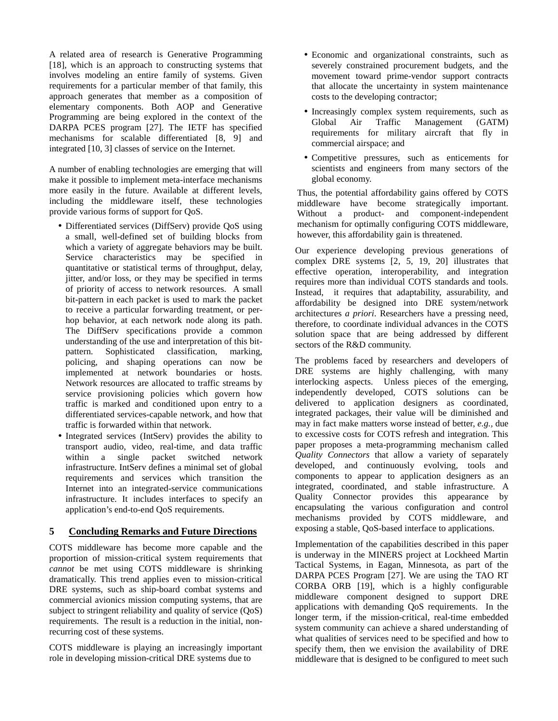A related area of research is Generative Programming [18], which is an approach to constructing systems that involves modeling an entire family of systems. Given requirements for a particular member of that family, this approach generates that member as a composition of elementary components. Both AOP and Generative Programming are being explored in the context of the DARPA PCES program [27]. The IETF has specified mechanisms for scalable differentiated [8, 9] and integrated [10, 3] classes of service on the Internet.

A number of enabling technologies are emerging that will make it possible to implement meta-interface mechanisms more easily in the future. Available at different levels, including the middleware itself, these technologies provide various forms of support for QoS.

- Differentiated services (DiffServ) provide QoS using a small, well-defined set of building blocks from which a variety of aggregate behaviors may be built. Service characteristics may be specified in quantitative or statistical terms of throughput, delay, jitter, and/or loss, or they may be specified in terms of priority of access to network resources. A small bit-pattern in each packet is used to mark the packet to receive a particular forwarding treatment, or perhop behavior, at each network node along its path. The DiffServ specifications provide a common understanding of the use and interpretation of this bitpattern. Sophisticated classification, marking, policing, and shaping operations can now be implemented at network boundaries or hosts. Network resources are allocated to traffic streams by service provisioning policies which govern how traffic is marked and conditioned upon entry to a differentiated services-capable network, and how that traffic is forwarded within that network.
- Integrated services (IntServ) provides the ability to transport audio, video, real-time, and data traffic within a single packet switched network infrastructure. IntServ defines a minimal set of global requirements and services which transition the Internet into an integrated-service communications infrastructure. It includes interfaces to specify an application's end-to-end QoS requirements.

## **5 Concluding Remarks and Future Directions**

COTS middleware has become more capable and the proportion of mission-critical system requirements that *cannot* be met using COTS middleware is shrinking dramatically. This trend applies even to mission-critical DRE systems, such as ship-board combat systems and commercial avionics mission computing systems, that are subject to stringent reliability and quality of service (QoS) requirements. The result is a reduction in the initial, nonrecurring cost of these systems.

COTS middleware is playing an increasingly important role in developing mission-critical DRE systems due to

- Economic and organizational constraints, such as severely constrained procurement budgets, and the movement toward prime-vendor support contracts that allocate the uncertainty in system maintenance costs to the developing contractor;
- Increasingly complex system requirements, such as Global Air Traffic Management (GATM) requirements for military aircraft that fly in commercial airspace; and
- Competitive pressures, such as enticements for scientists and engineers from many sectors of the global economy.

Thus, the potential affordability gains offered by COTS middleware have become strategically important. Without a product- and component-independent mechanism for optimally configuring COTS middleware, however, this affordability gain is threatened.

Our experience developing previous generations of complex DRE systems [2, 5, 19, 20] illustrates that effective operation, interoperability, and integration requires more than individual COTS standards and tools. Instead, it requires that adaptability, assurability, and affordability be designed into DRE system/network architectures *a priori*. Researchers have a pressing need, therefore, to coordinate individual advances in the COTS solution space that are being addressed by different sectors of the R&D community.

The problems faced by researchers and developers of DRE systems are highly challenging, with many interlocking aspects. Unless pieces of the emerging, independently developed, COTS solutions can be delivered to application designers as coordinated, integrated packages, their value will be diminished and may in fact make matters worse instead of better, *e.g.,* due to excessive costs for COTS refresh and integration. This paper proposes a meta-programming mechanism called *Quality Connectors* that allow a variety of separately developed, and continuously evolving, tools and components to appear to application designers as an integrated, coordinated, and stable infrastructure. A Quality Connector provides this appearance by encapsulating the various configuration and control mechanisms provided by COTS middleware, and exposing a stable, QoS-based interface to applications.

Implementation of the capabilities described in this paper is underway in the MINERS project at Lockheed Martin Tactical Systems, in Eagan, Minnesota, as part of the DARPA PCES Program [27]. We are using the TAO RT CORBA ORB [19], which is a highly configurable middleware component designed to support DRE applications with demanding QoS requirements. In the longer term, if the mission-critical, real-time embedded system community can achieve a shared understanding of what qualities of services need to be specified and how to specify them, then we envision the availability of DRE middleware that is designed to be configured to meet such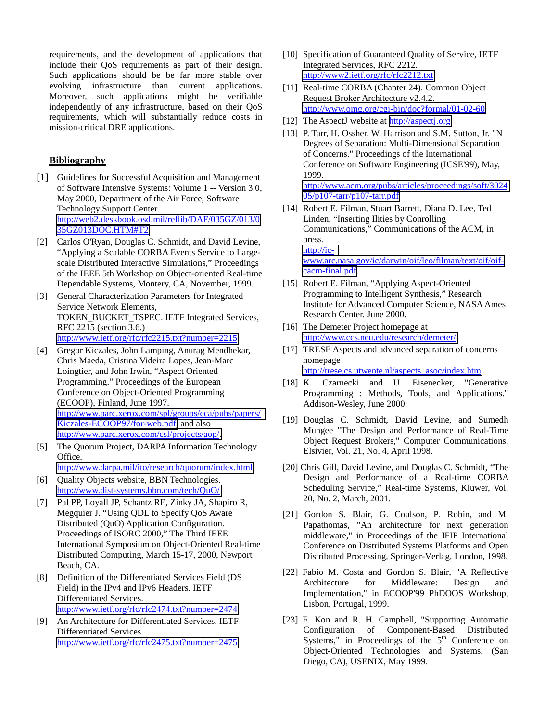requirements, and the development of applications that include their QoS requirements as part of their design. Such applications should be be far more stable over evolving infrastructure than current applications. Moreover, such applications might be verifiable independently of any infrastructure, based on their QoS requirements, which will substantially reduce costs in mission-critical DRE applications.

## **Bibliography**

- [1] Guidelines for Successful Acquisition and Management of Software Intensive Systems: Volume 1 -- Version 3.0, May 2000, Department of the Air Force, Software Technology Support Center. [http://web2.deskbook.osd.mil/reflib/DAF/035GZ/013/0](http://web2.deskbook.osd.mil/reflib/DAF/035GZ/013/035GZ013DOC.HTM#T2) [35GZ013DOC.HTM#T2](http://web2.deskbook.osd.mil/reflib/DAF/035GZ/013/035GZ013DOC.HTM#T2)
- [2] Carlos O'Ryan, Douglas C. Schmidt, and David Levine, "Applying a Scalable CORBA Events Service to Largescale Distributed Interactive Simulations," Proceedings of the IEEE 5th Workshop on Object-oriented Real-time Dependable Systems, Montery, CA, November, 1999.
- [3] General Characterization Parameters for Integrated Service Network Elements, TOKEN\_BUCKET\_TSPEC. IETF Integrated Services, RFC 2215 (section 3.6.) [http://www.ietf.org/rfc/rfc2215.txt?number=2215.](http://www.ietf.org/rfc/rfc2215.txt?number=2215)
- [4] Gregor Kiczales, John Lamping, Anurag Mendhekar, Chris Maeda, Cristina Videira Lopes, Jean-Marc Loingtier, and John Irwin, "Aspect Oriented Programming." Proceedings of the European Conference on Object-Oriented Programming (ECOOP), Finland, June 1997. [http://www.parc.xerox.com/spl/groups/eca/pubs/papers/](http://www.parc.xerox.com/spl/groups/eca/pubs/papers/Kiczales-ECOOP97/for-web.pdf) [Kiczales-ECOOP97/for-web.pdf,](http://www.parc.xerox.com/spl/groups/eca/pubs/papers/Kiczales-ECOOP97/for-web.pdf) and also [http://www.parc.xerox.com/csl/projects/aop/.](http://www.parc.xerox.com/csl/projects/aop/)
- [5] The Quorum Project, DARPA Information Technology Office.

<http://www.darpa.mil/ito/research/quorum/index.html>

- [6] Quality Objects website, BBN Technologies. <http://www.dist-systems.bbn.com/tech/QuO/>
- [7] Pal PP, Loyall JP, Schantz RE, Zinky JA, Shapiro R, Megquier J. "Using QDL to Specify QoS Aware Distributed (QuO) Application Configuration. Proceedings of ISORC 2000," The Third IEEE International Symposium on Object-Oriented Real-time Distributed Computing, March 15-17, 2000, Newport Beach, CA.
- [8] Definition of the Differentiated Services Field (DS Field) in the IPv4 and IPv6 Headers. IETF Differentiated Services. <http://www.ietf.org/rfc/rfc2474.txt?number=2474>
- [9] An Architecture for Differentiated Services. IETF Differentiated Services. <http://www.ietf.org/rfc/rfc2475.txt?number=2475>
- [10] Specification of Guaranteed Quality of Service, IETF Integrated Services, RFC 2212. <http://www2.ietf.org/rfc/rfc2212.txt>
- [11] Real-time CORBA (Chapter 24). Common Object Request Broker Architecture v2.4.2. <http://www.omg.org/cgi-bin/doc?formal/01-02-60>
- [12] The AspectJ website at [http://aspectj.org.](http://aspectj.org/)
- [13] P. Tarr, H. Ossher, W. Harrison and S.M. Sutton, Jr. "N Degrees of Separation: Multi-Dimensional Separation of Concerns." Proceedings of the International Conference on Software Engineering (ICSE'99), May, 1999.

[http://www.acm.org/pubs/articles/proceedings/soft/3024](http://www.acm.org/pubs/articles/proceedings/soft/302405/p107-tarr/p107-tarr.pdf) [05/p107-tarr/p107-tarr.pdf](http://www.acm.org/pubs/articles/proceedings/soft/302405/p107-tarr/p107-tarr.pdf)

- [14] Robert E. Filman, Stuart Barrett, Diana D. Lee, Ted Linden, "Inserting Ilities by Conrolling Communications," Communications of the ACM, in press. [http://ic](http://ic-www.arc.nasa.gov/ic/darwin/oif/leo/filman/text/oif/oif-cacm-final.pdf)[www.arc.nasa.gov/ic/darwin/oif/leo/filman/text/oif/oif](http://ic-www.arc.nasa.gov/ic/darwin/oif/leo/filman/text/oif/oif-cacm-final.pdf)[cacm-final.pdf.](http://ic-www.arc.nasa.gov/ic/darwin/oif/leo/filman/text/oif/oif-cacm-final.pdf)
- [15] Robert E. Filman, "Applying Aspect-Oriented" Programming to Intelligent Synthesis," Research Institute for Advanced Computer Science, NASA Ames Research Center. June 2000.
- [16] The Demeter Project homepage at <http://www.ccs.neu.edu/research/demeter/>
- [17] TRESE Aspects and advanced separation of concerns homepage [http://trese.cs.utwente.nl/aspects\\_asoc/index.htm](http://trese.cs.utwente.nl/aspects_asoc/index.htm)
- [18] K. Czarnecki and U. Eisenecker, "Generative Programming : Methods, Tools, and Applications." Addison-Wesley, June 2000.
- [19] Douglas C. Schmidt, David Levine, and Sumedh Mungee "The Design and Performance of Real-Time Object Request Brokers," Computer Communications, Elsivier, Vol. 21, No. 4, April 1998.
- [20] Chris Gill, David Levine, and Douglas C. Schmidt, "The Design and Performance of a Real-time CORBA Scheduling Service," Real-time Systems, Kluwer, Vol. 20, No. 2, March, 2001.
- [21] Gordon S. Blair, G. Coulson, P. Robin, and M. Papathomas, "An architecture for next generation middleware," in Proceedings of the IFIP International Conference on Distributed Systems Platforms and Open Distributed Processing, Springer-Verlag, London, 1998.
- [22] Fabio M. Costa and Gordon S. Blair, "A Reflective Architecture for Middleware: Design and Implementation," in ECOOP'99 PhDOOS Workshop, Lisbon, Portugal, 1999.
- [23] F. Kon and R. H. Campbell, "Supporting Automatic Configuration of Component-Based Distributed Systems," in Proceedings of the  $5<sup>th</sup>$  Conference on Object-Oriented Technologies and Systems, (San Diego, CA), USENIX, May 1999.